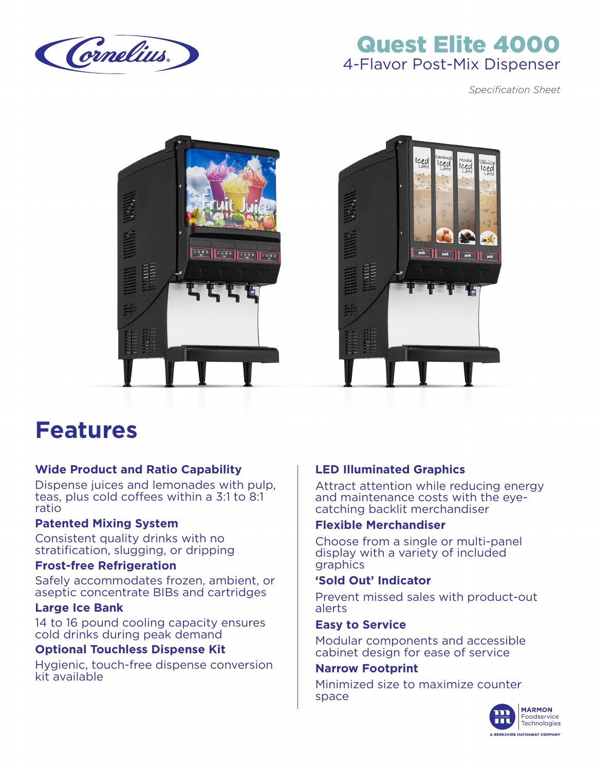

## Quest Elite 4000 4-Flavor Post-Mix Dispenser

*Specification Sheet*





# **Features**

#### **Wide Product and Ratio Capability**

Dispense juices and lemonades with pulp, teas, plus cold coffees within a 3:1 to 8:1 ratio

#### **Patented Mixing System**

Consistent quality drinks with no stratification, slugging, or dripping

#### **Frost-free Refrigeration**

Safely accommodates frozen, ambient, or aseptic concentrate BIBs and cartridges

#### **Large Ice Bank**

14 to 16 pound cooling capacity ensures cold drinks during peak demand

#### **Optional Touchless Dispense Kit**

Hygienic, touch-free dispense conversion kit available

#### **LED Illuminated Graphics**

Attract attention while reducing energy and maintenance costs with the eyecatching backlit merchandiser

#### **Flexible Merchandiser**

Choose from a single or multi-panel display with a variety of included graphics

#### **'Sold Out' Indicator**

Prevent missed sales with product-out alerts

#### **Easy to Service**

Modular components and accessible cabinet design for ease of service

#### **Narrow Footprint**

Minimized size to maximize counter space